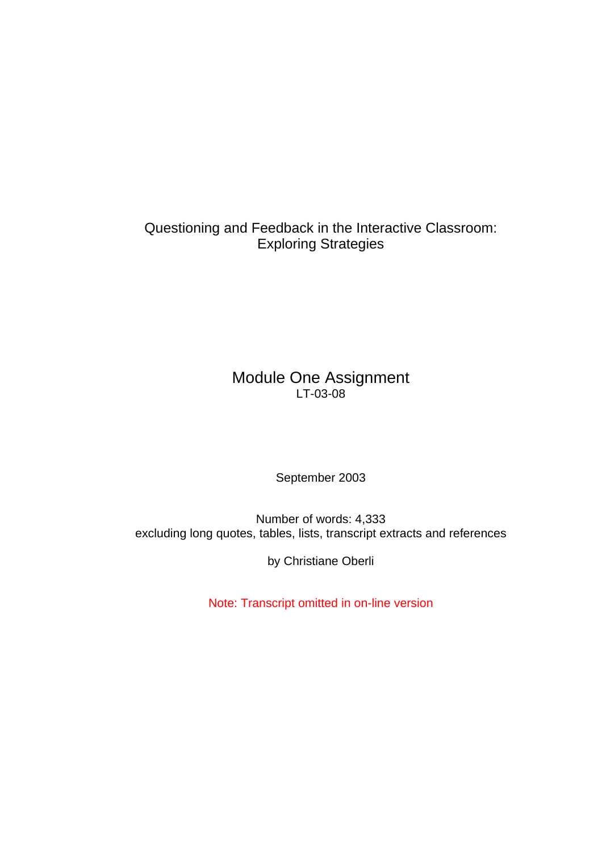Questioning and Feedback in the Interactive Classroom: Exploring Strategies

# Module One Assignment LT-03-08

September 2003

Number of words: 4,333 excluding long quotes, tables, lists, transcript extracts and references

by Christiane Oberli

Note: Transcript omitted in on-line version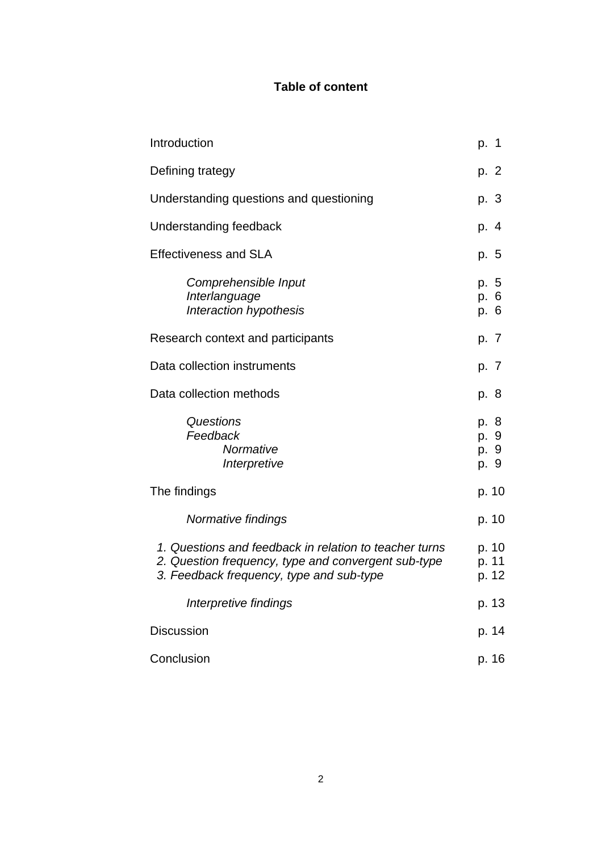## **Table of content**

| Introduction                                                                                                                                              | p. 1                         |
|-----------------------------------------------------------------------------------------------------------------------------------------------------------|------------------------------|
| Defining trategy                                                                                                                                          | p. 2                         |
| Understanding questions and questioning                                                                                                                   | p. 3                         |
| Understanding feedback                                                                                                                                    | p. 4                         |
| <b>Effectiveness and SLA</b>                                                                                                                              | p. 5                         |
| Comprehensible Input<br>Interlanguage<br>Interaction hypothesis                                                                                           | p. 5<br>p. 6<br>p. 6         |
| Research context and participants                                                                                                                         | p. 7                         |
| Data collection instruments                                                                                                                               | p. 7                         |
| Data collection methods                                                                                                                                   | p. 8                         |
| Questions<br>Feedback<br>Normative<br>Interpretive                                                                                                        | p. 8<br>p. 9<br>p. 9<br>p. 9 |
| The findings                                                                                                                                              | p. 10                        |
| Normative findings                                                                                                                                        | p. 10                        |
| 1. Questions and feedback in relation to teacher turns<br>2. Question frequency, type and convergent sub-type<br>3. Feedback frequency, type and sub-type | p. 10<br>p. 11<br>p. 12      |
| Interpretive findings                                                                                                                                     | p. 13                        |
| <b>Discussion</b>                                                                                                                                         | p. 14                        |
| Conclusion                                                                                                                                                | p. 16                        |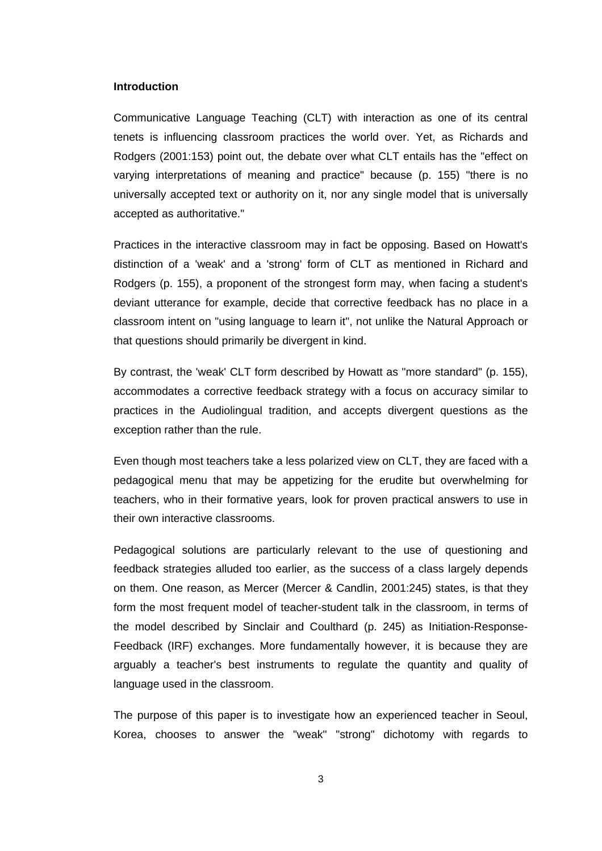### **Introduction**

Communicative Language Teaching (CLT) with interaction as one of its central tenets is influencing classroom practices the world over. Yet, as Richards and Rodgers (2001:153) point out, the debate over what CLT entails has the "effect on varying interpretations of meaning and practice" because (p. 155) "there is no universally accepted text or authority on it, nor any single model that is universally accepted as authoritative."

Practices in the interactive classroom may in fact be opposing. Based on Howatt's distinction of a 'weak' and a 'strong' form of CLT as mentioned in Richard and Rodgers (p. 155), a proponent of the strongest form may, when facing a student's deviant utterance for example, decide that corrective feedback has no place in a classroom intent on "using language to learn it", not unlike the Natural Approach or that questions should primarily be divergent in kind.

By contrast, the 'weak' CLT form described by Howatt as "more standard" (p. 155). accommodates a corrective feedback strategy with a focus on accuracy similar to practices in the Audiolingual tradition, and accepts divergent questions as the exception rather than the rule.

Even though most teachers take a less polarized view on CLT, they are faced with a pedagogical menu that may be appetizing for the erudite but overwhelming for teachers, who in their formative years, look for proven practical answers to use in their own interactive classrooms.

Pedagogical solutions are particularly relevant to the use of questioning and feedback strategies alluded too earlier, as the success of a class largely depends on them. One reason, as Mercer (Mercer & Candlin, 2001:245) states, is that they form the most frequent model of teacher-student talk in the classroom, in terms of the model described by Sinclair and Coulthard (p. 245) as Initiation-Response-Feedback (IRF) exchanges. More fundamentally however, it is because they are arguably a teacher's best instruments to regulate the quantity and quality of language used in the classroom.

The purpose of this paper is to investigate how an experienced teacher in Seoul, Korea, chooses to answer the "weak" "strong" dichotomy with regards to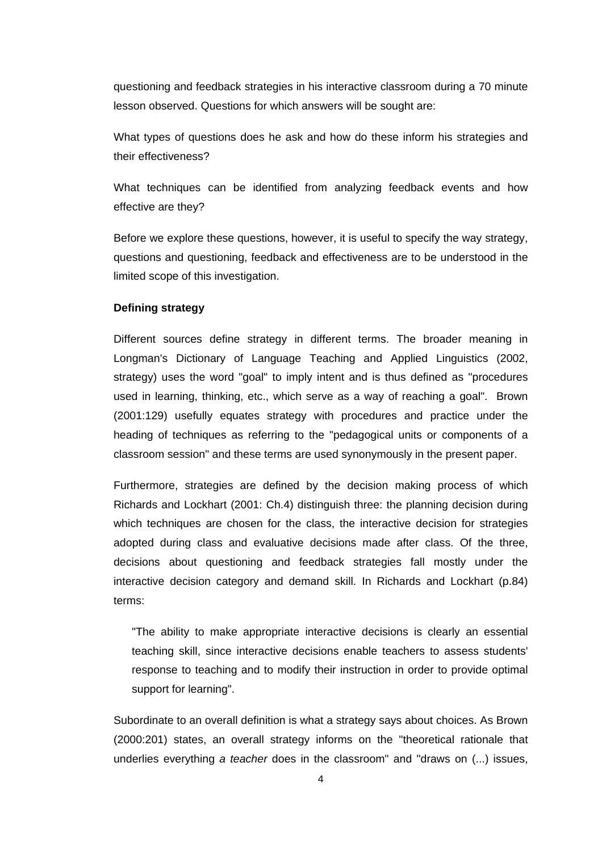questioning and feedback strategies in his interactive classroom during a 70 minute lesson observed. Questions for which answers will be sought are:

What types of questions does he ask and how do these inform his strategies and their effectiveness?

What techniques can be identified from analyzing feedback events and how effective are they?

Before we explore these questions, however, it is useful to specify the way strategy, questions and questioning, feedback and effectiveness are to be understood in the limited scope of this investigation.

### **Defining strategy**

Different sources define strategy in different terms. The broader meaning in Longman's Dictionary of Language Teaching and Applied Linguistics (2002, strategy) uses the word "goal" to imply intent and is thus defined as "procedures used in learning, thinking, etc., which serve as a way of reaching a goal". Brown (2001:129) usefully equates strategy with procedures and practice under the heading of techniques as referring to the "pedagogical units or components of a classroom session" and these terms are used synonymously in the present paper.

Furthermore, strategies are defined by the decision making process of which Richards and Lockhart (2001: Ch.4) distinguish three: the planning decision during which techniques are chosen for the class, the interactive decision for strategies adopted during class and evaluative decisions made after class. Of the three, decisions about questioning and feedback strategies fall mostly under the interactive decision category and demand skill. In Richards and Lockhart (p.84) terms:

"The ability to make appropriate interactive decisions is clearly an essential teaching skill, since interactive decisions enable teachers to assess students' response to teaching and to modify their instruction in order to provide optimal support for learning".

Subordinate to an overall definition is what a strategy says about choices. As Brown (2000:201) states, an overall strategy informs on the "theoretical rationale that underlies everything *a teacher* does in the classroom" and "draws on (...) issues,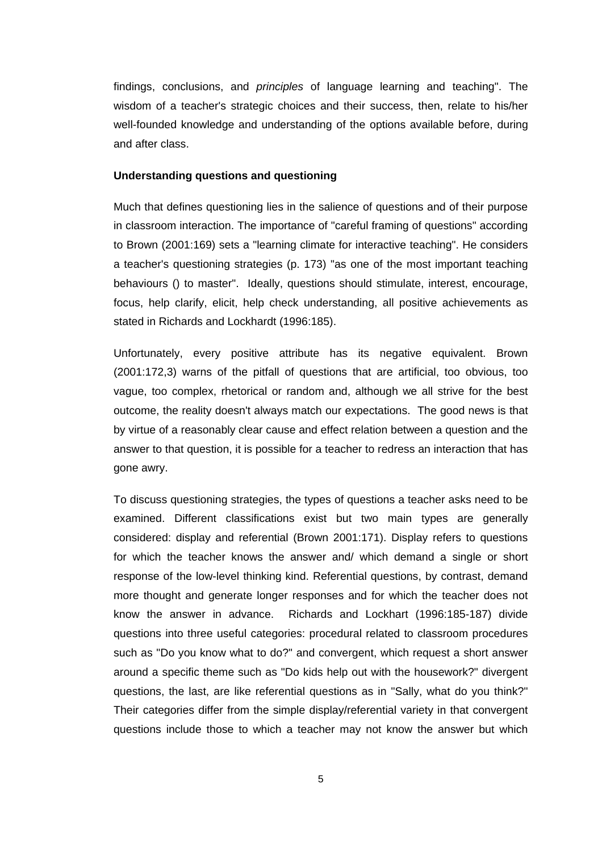findings, conclusions, and *principles* of language learning and teaching". The wisdom of a teacher's strategic choices and their success, then, relate to his/her well-founded knowledge and understanding of the options available before, during and after class.

### **Understanding questions and questioning**

Much that defines questioning lies in the salience of questions and of their purpose in classroom interaction. The importance of "careful framing of questions" according to Brown (2001:169) sets a "learning climate for interactive teaching". He considers a teacher's questioning strategies (p. 173) "as one of the most important teaching behaviours () to master". Ideally, questions should stimulate, interest, encourage, focus, help clarify, elicit, help check understanding, all positive achievements as stated in Richards and Lockhardt (1996:185).

Unfortunately, every positive attribute has its negative equivalent. Brown (2001:172,3) warns of the pitfall of questions that are artificial, too obvious, too vague, too complex, rhetorical or random and, although we all strive for the best outcome, the reality doesn't always match our expectations. The good news is that by virtue of a reasonably clear cause and effect relation between a question and the answer to that question, it is possible for a teacher to redress an interaction that has gone awry.

To discuss questioning strategies, the types of questions a teacher asks need to be examined. Different classifications exist but two main types are generally considered: display and referential (Brown 2001:171). Display refers to questions for which the teacher knows the answer and/ which demand a single or short response of the low-level thinking kind. Referential questions, by contrast, demand more thought and generate longer responses and for which the teacher does not know the answer in advance. Richards and Lockhart (1996:185-187) divide questions into three useful categories: procedural related to classroom procedures such as "Do you know what to do?" and convergent, which request a short answer around a specific theme such as "Do kids help out with the housework?" divergent questions, the last, are like referential questions as in "Sally, what do you think?" Their categories differ from the simple display/referential variety in that convergent questions include those to which a teacher may not know the answer but which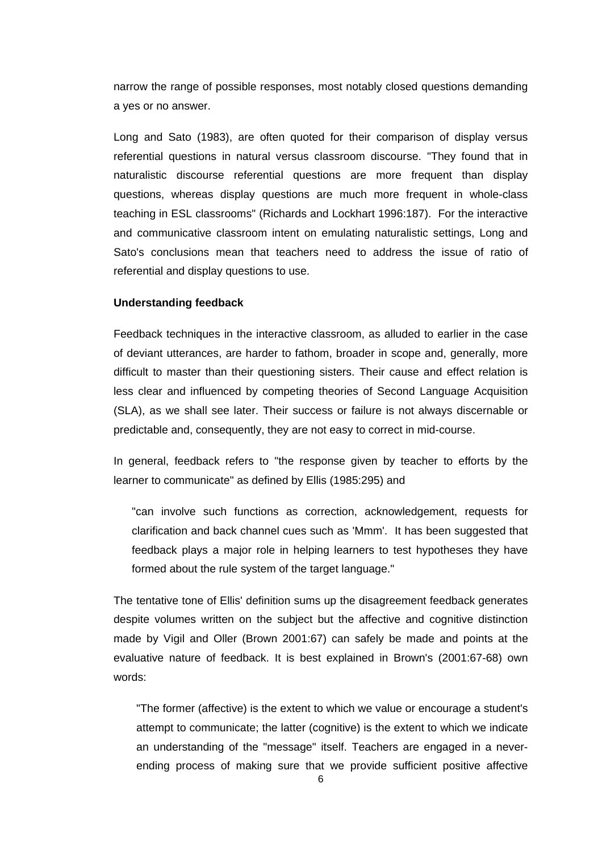narrow the range of possible responses, most notably closed questions demanding a yes or no answer.

Long and Sato (1983), are often quoted for their comparison of display versus referential questions in natural versus classroom discourse. "They found that in naturalistic discourse referential questions are more frequent than display questions, whereas display questions are much more frequent in whole-class teaching in ESL classrooms" (Richards and Lockhart 1996:187). For the interactive and communicative classroom intent on emulating naturalistic settings, Long and Sato's conclusions mean that teachers need to address the issue of ratio of referential and display questions to use.

#### **Understanding feedback**

Feedback techniques in the interactive classroom, as alluded to earlier in the case of deviant utterances, are harder to fathom, broader in scope and, generally, more difficult to master than their questioning sisters. Their cause and effect relation is less clear and influenced by competing theories of Second Language Acquisition (SLA), as we shall see later. Their success or failure is not always discernable or predictable and, consequently, they are not easy to correct in mid-course.

In general, feedback refers to "the response given by teacher to efforts by the learner to communicate" as defined by Ellis (1985:295) and

"can involve such functions as correction, acknowledgement, requests for clarification and back channel cues such as 'Mmm'. It has been suggested that feedback plays a major role in helping learners to test hypotheses they have formed about the rule system of the target language."

The tentative tone of Ellis' definition sums up the disagreement feedback generates despite volumes written on the subject but the affective and cognitive distinction made by Vigil and Oller (Brown 2001:67) can safely be made and points at the evaluative nature of feedback. It is best explained in Brown's (2001:67-68) own words:

"The former (affective) is the extent to which we value or encourage a student's attempt to communicate; the latter (cognitive) is the extent to which we indicate an understanding of the "message" itself. Teachers are engaged in a neverending process of making sure that we provide sufficient positive affective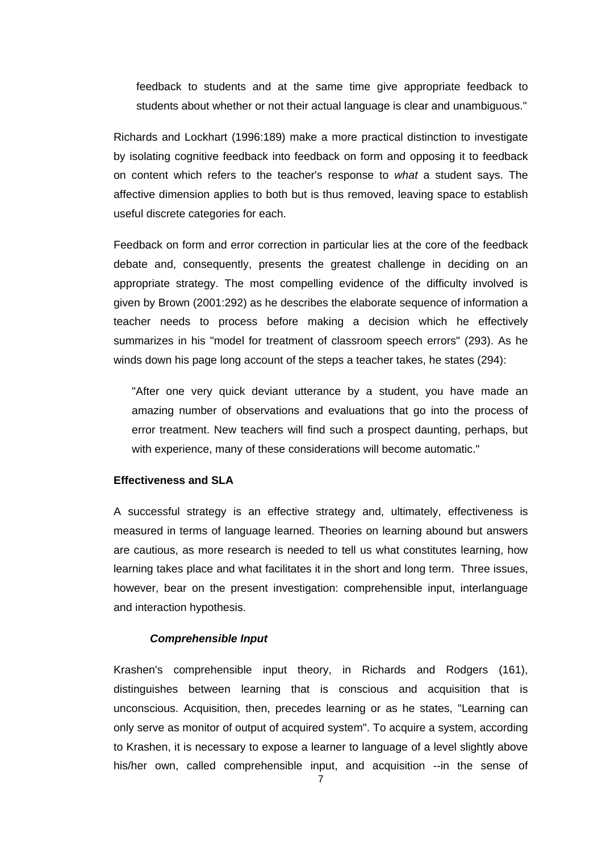feedback to students and at the same time give appropriate feedback to students about whether or not their actual language is clear and unambiguous."

Richards and Lockhart (1996:189) make a more practical distinction to investigate by isolating cognitive feedback into feedback on form and opposing it to feedback on content which refers to the teacher's response to *what* a student says. The affective dimension applies to both but is thus removed, leaving space to establish useful discrete categories for each.

Feedback on form and error correction in particular lies at the core of the feedback debate and, consequently, presents the greatest challenge in deciding on an appropriate strategy. The most compelling evidence of the difficulty involved is given by Brown (2001:292) as he describes the elaborate sequence of information a teacher needs to process before making a decision which he effectively summarizes in his "model for treatment of classroom speech errors" (293). As he winds down his page long account of the steps a teacher takes, he states (294):

"After one very quick deviant utterance by a student, you have made an amazing number of observations and evaluations that go into the process of error treatment. New teachers will find such a prospect daunting, perhaps, but with experience, many of these considerations will become automatic."

#### **Effectiveness and SLA**

A successful strategy is an effective strategy and, ultimately, effectiveness is measured in terms of language learned. Theories on learning abound but answers are cautious, as more research is needed to tell us what constitutes learning, how learning takes place and what facilitates it in the short and long term. Three issues, however, bear on the present investigation: comprehensible input, interlanguage and interaction hypothesis.

### *Comprehensible Input*

Krashen's comprehensible input theory, in Richards and Rodgers (161), distinguishes between learning that is conscious and acquisition that is unconscious. Acquisition, then, precedes learning or as he states, "Learning can only serve as monitor of output of acquired system". To acquire a system, according to Krashen, it is necessary to expose a learner to language of a level slightly above his/her own, called comprehensible input, and acquisition --in the sense of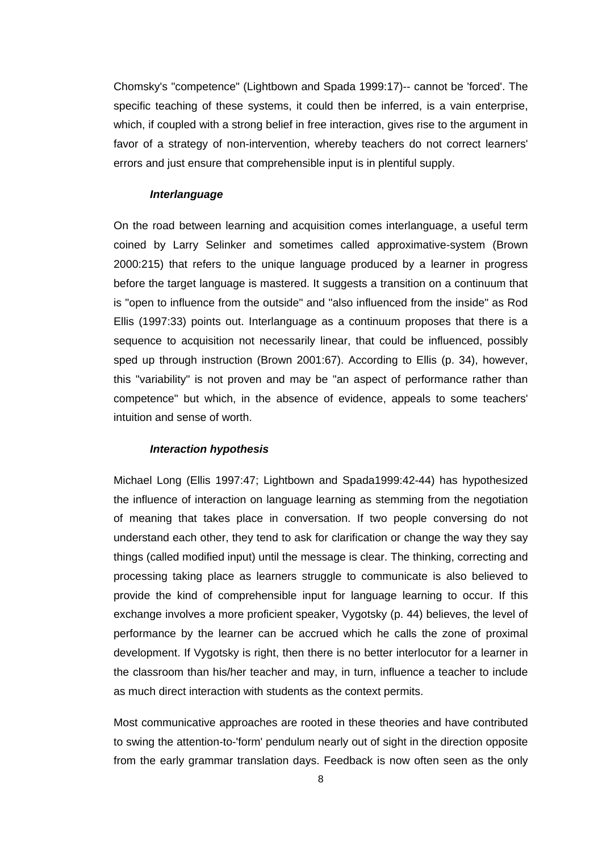Chomsky's "competence" (Lightbown and Spada 1999:17)-- cannot be 'forced'. The specific teaching of these systems, it could then be inferred, is a vain enterprise, which, if coupled with a strong belief in free interaction, gives rise to the argument in favor of a strategy of non-intervention, whereby teachers do not correct learners' errors and just ensure that comprehensible input is in plentiful supply.

### *Interlanguage*

On the road between learning and acquisition comes interlanguage, a useful term coined by Larry Selinker and sometimes called approximative-system (Brown 2000:215) that refers to the unique language produced by a learner in progress before the target language is mastered. It suggests a transition on a continuum that is "open to influence from the outside" and "also influenced from the inside" as Rod Ellis (1997:33) points out. Interlanguage as a continuum proposes that there is a sequence to acquisition not necessarily linear, that could be influenced, possibly sped up through instruction (Brown 2001:67). According to Ellis (p. 34), however, this "variability" is not proven and may be "an aspect of performance rather than competence" but which, in the absence of evidence, appeals to some teachers' intuition and sense of worth.

### *Interaction hypothesis*

Michael Long (Ellis 1997:47; Lightbown and Spada1999:42-44) has hypothesized the influence of interaction on language learning as stemming from the negotiation of meaning that takes place in conversation. If two people conversing do not understand each other, they tend to ask for clarification or change the way they say things (called modified input) until the message is clear. The thinking, correcting and processing taking place as learners struggle to communicate is also believed to provide the kind of comprehensible input for language learning to occur. If this exchange involves a more proficient speaker, Vygotsky (p. 44) believes, the level of performance by the learner can be accrued which he calls the zone of proximal development. If Vygotsky is right, then there is no better interlocutor for a learner in the classroom than his/her teacher and may, in turn, influence a teacher to include as much direct interaction with students as the context permits.

Most communicative approaches are rooted in these theories and have contributed to swing the attention-to-'form' pendulum nearly out of sight in the direction opposite from the early grammar translation days. Feedback is now often seen as the only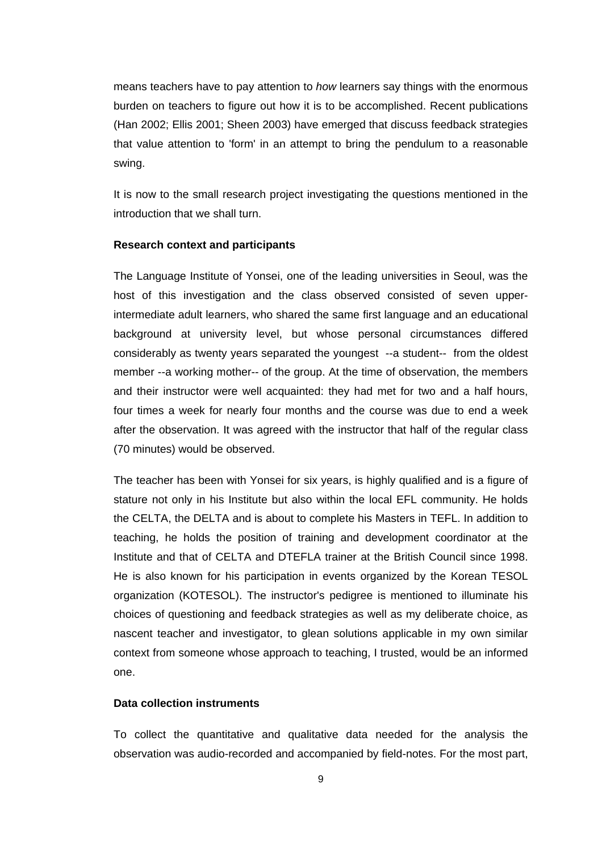means teachers have to pay attention to *how* learners say things with the enormous burden on teachers to figure out how it is to be accomplished. Recent publications (Han 2002; Ellis 2001; Sheen 2003) have emerged that discuss feedback strategies that value attention to 'form' in an attempt to bring the pendulum to a reasonable swing.

It is now to the small research project investigating the questions mentioned in the introduction that we shall turn.

#### **Research context and participants**

The Language Institute of Yonsei, one of the leading universities in Seoul, was the host of this investigation and the class observed consisted of seven upperintermediate adult learners, who shared the same first language and an educational background at university level, but whose personal circumstances differed considerably as twenty years separated the youngest --a student-- from the oldest member --a working mother-- of the group. At the time of observation, the members and their instructor were well acquainted: they had met for two and a half hours, four times a week for nearly four months and the course was due to end a week after the observation. It was agreed with the instructor that half of the regular class (70 minutes) would be observed.

The teacher has been with Yonsei for six years, is highly qualified and is a figure of stature not only in his Institute but also within the local EFL community. He holds the CELTA, the DELTA and is about to complete his Masters in TEFL. In addition to teaching, he holds the position of training and development coordinator at the Institute and that of CELTA and DTEFLA trainer at the British Council since 1998. He is also known for his participation in events organized by the Korean TESOL organization (KOTESOL). The instructor's pedigree is mentioned to illuminate his choices of questioning and feedback strategies as well as my deliberate choice, as nascent teacher and investigator, to glean solutions applicable in my own similar context from someone whose approach to teaching, I trusted, would be an informed one.

### **Data collection instruments**

To collect the quantitative and qualitative data needed for the analysis the observation was audio-recorded and accompanied by field-notes. For the most part,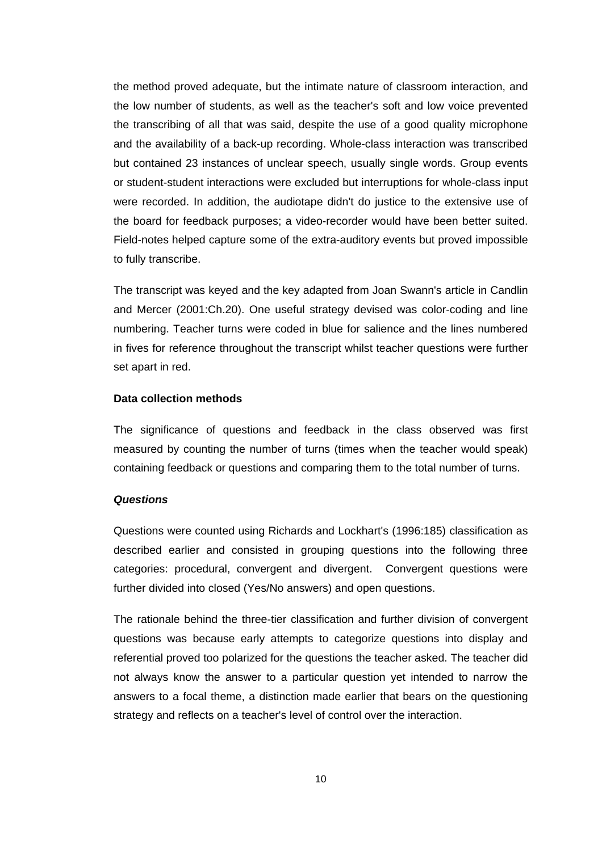the method proved adequate, but the intimate nature of classroom interaction, and the low number of students, as well as the teacher's soft and low voice prevented the transcribing of all that was said, despite the use of a good quality microphone and the availability of a back-up recording. Whole-class interaction was transcribed but contained 23 instances of unclear speech, usually single words. Group events or student-student interactions were excluded but interruptions for whole-class input were recorded. In addition, the audiotape didn't do justice to the extensive use of the board for feedback purposes; a video-recorder would have been better suited. Field-notes helped capture some of the extra-auditory events but proved impossible to fully transcribe.

The transcript was keyed and the key adapted from Joan Swann's article in Candlin and Mercer (2001:Ch.20). One useful strategy devised was color-coding and line numbering. Teacher turns were coded in blue for salience and the lines numbered in fives for reference throughout the transcript whilst teacher questions were further set apart in red.

### **Data collection methods**

The significance of questions and feedback in the class observed was first measured by counting the number of turns (times when the teacher would speak) containing feedback or questions and comparing them to the total number of turns.

#### *Questions*

Questions were counted using Richards and Lockhart's (1996:185) classification as described earlier and consisted in grouping questions into the following three categories: procedural, convergent and divergent. Convergent questions were further divided into closed (Yes/No answers) and open questions.

The rationale behind the three-tier classification and further division of convergent questions was because early attempts to categorize questions into display and referential proved too polarized for the questions the teacher asked. The teacher did not always know the answer to a particular question yet intended to narrow the answers to a focal theme, a distinction made earlier that bears on the questioning strategy and reflects on a teacher's level of control over the interaction.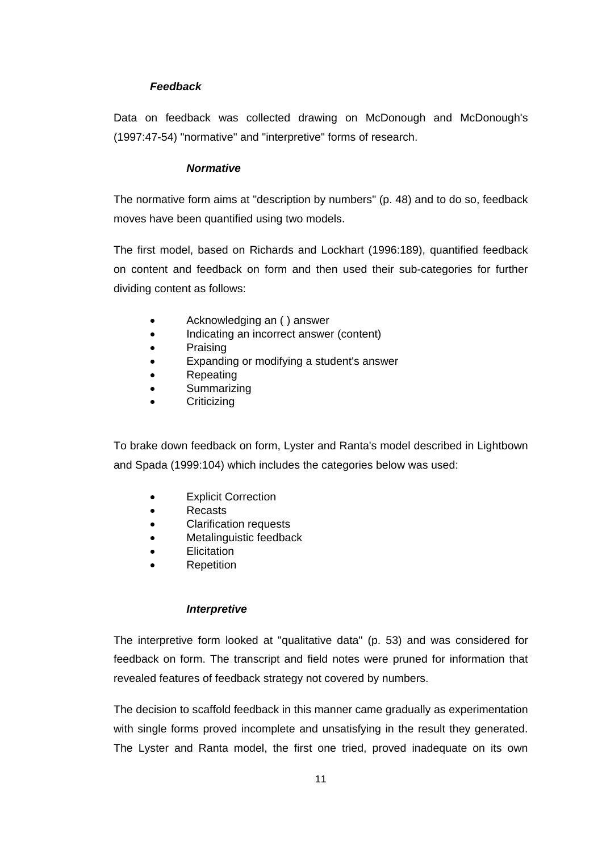### *Feedback*

Data on feedback was collected drawing on McDonough and McDonough's (1997:47-54) "normative" and "interpretive" forms of research.

### *Normative*

The normative form aims at "description by numbers" (p. 48) and to do so, feedback moves have been quantified using two models.

The first model, based on Richards and Lockhart (1996:189), quantified feedback on content and feedback on form and then used their sub-categories for further dividing content as follows:

- Acknowledging an ( ) answer
- Indicating an incorrect answer (content)
- Praising
- Expanding or modifying a student's answer
- Repeating
- Summarizing
- Criticizing

To brake down feedback on form, Lyster and Ranta's model described in Lightbown and Spada (1999:104) which includes the categories below was used:

- Explicit Correction
- Recasts
- Clarification requests
- Metalinguistic feedback
- Elicitation
- **Repetition**

### *Interpretive*

The interpretive form looked at "qualitative data" (p. 53) and was considered for feedback on form. The transcript and field notes were pruned for information that revealed features of feedback strategy not covered by numbers.

The decision to scaffold feedback in this manner came gradually as experimentation with single forms proved incomplete and unsatisfying in the result they generated. The Lyster and Ranta model, the first one tried, proved inadequate on its own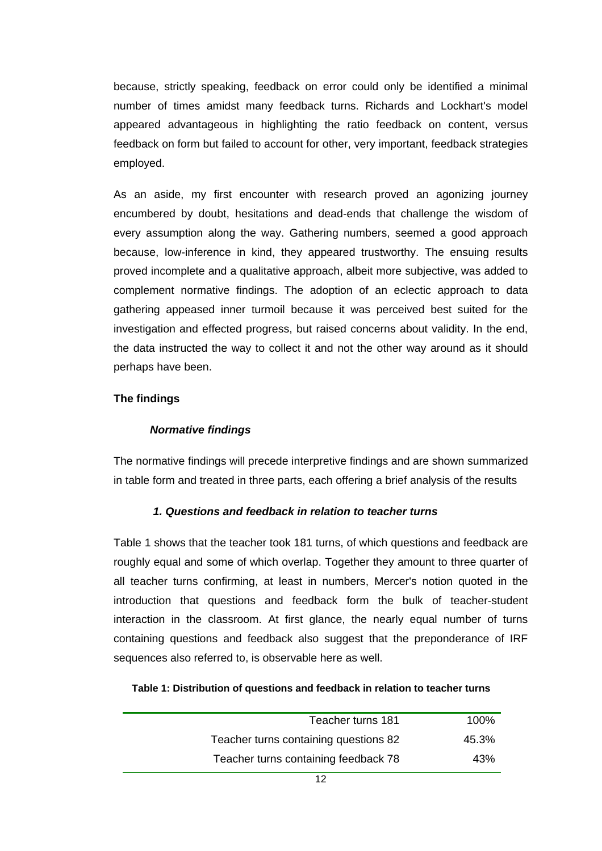because, strictly speaking, feedback on error could only be identified a minimal number of times amidst many feedback turns. Richards and Lockhart's model appeared advantageous in highlighting the ratio feedback on content, versus feedback on form but failed to account for other, very important, feedback strategies employed.

As an aside, my first encounter with research proved an agonizing journey encumbered by doubt, hesitations and dead-ends that challenge the wisdom of every assumption along the way. Gathering numbers, seemed a good approach because, low-inference in kind, they appeared trustworthy. The ensuing results proved incomplete and a qualitative approach, albeit more subjective, was added to complement normative findings. The adoption of an eclectic approach to data gathering appeased inner turmoil because it was perceived best suited for the investigation and effected progress, but raised concerns about validity. In the end, the data instructed the way to collect it and not the other way around as it should perhaps have been.

### **The findings**

### *Normative findings*

The normative findings will precede interpretive findings and are shown summarized in table form and treated in three parts, each offering a brief analysis of the results

### *1. Questions and feedback in relation to teacher turns*

Table 1 shows that the teacher took 181 turns, of which questions and feedback are roughly equal and some of which overlap. Together they amount to three quarter of all teacher turns confirming, at least in numbers, Mercer's notion quoted in the introduction that questions and feedback form the bulk of teacher-student interaction in the classroom. At first glance, the nearly equal number of turns containing questions and feedback also suggest that the preponderance of IRF sequences also referred to, is observable here as well.

|  | Table 1: Distribution of questions and feedback in relation to teacher turns |
|--|------------------------------------------------------------------------------|
|--|------------------------------------------------------------------------------|

| Teacher turns 181                     | $100\%$ |
|---------------------------------------|---------|
| Teacher turns containing questions 82 | 45.3%   |
| Teacher turns containing feedback 78  | 43%     |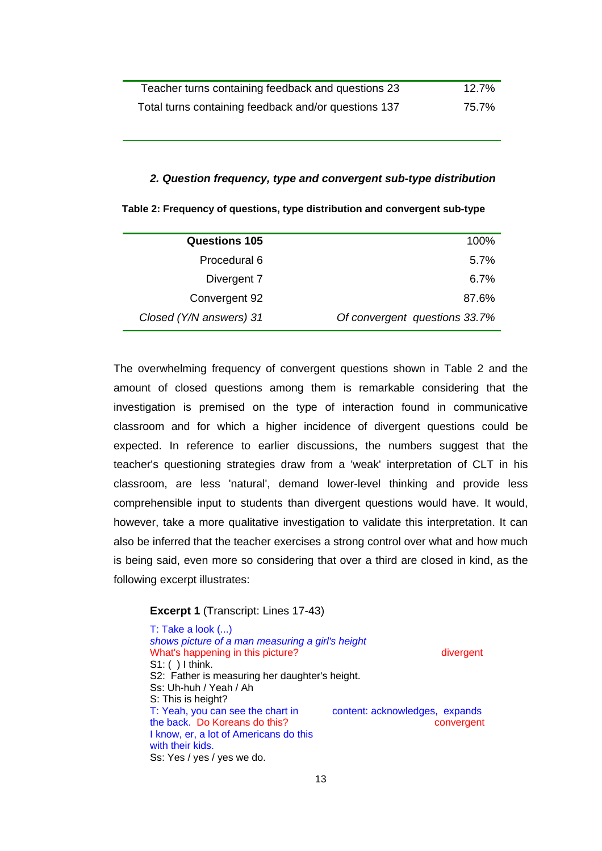| Teacher turns containing feedback and questions 23   | 12.7% |
|------------------------------------------------------|-------|
| Total turns containing feedback and/or questions 137 | 75.7% |

#### *2. Question frequency, type and convergent sub-type distribution*

| Table 2: Frequency of questions, type distribution and convergent sub-type |  |  |  |  |
|----------------------------------------------------------------------------|--|--|--|--|
|----------------------------------------------------------------------------|--|--|--|--|

| <b>Questions 105</b>    | 100%                          |
|-------------------------|-------------------------------|
| Procedural 6            | 5.7%                          |
| Divergent 7             | 6.7%                          |
| Convergent 92           | 87.6%                         |
| Closed (Y/N answers) 31 | Of convergent questions 33.7% |

The overwhelming frequency of convergent questions shown in Table 2 and the amount of closed questions among them is remarkable considering that the investigation is premised on the type of interaction found in communicative classroom and for which a higher incidence of divergent questions could be expected. In reference to earlier discussions, the numbers suggest that the teacher's questioning strategies draw from a 'weak' interpretation of CLT in his classroom, are less 'natural', demand lower-level thinking and provide less comprehensible input to students than divergent questions would have. It would, however, take a more qualitative investigation to validate this interpretation. It can also be inferred that the teacher exercises a strong control over what and how much is being said, even more so considering that over a third are closed in kind, as the following excerpt illustrates:

### **Excerpt 1** (Transcript: Lines 17-43)

T: Take a look (...) *shows picture of a man measuring a girl's height* What's happening in this picture? S1: ( ) I think. S2: Father is measuring her daughter's height. Ss: Uh-huh / Yeah / Ah S: This is height? T: Yeah, you can see the chart in content: acknowledges, expands the back. Do Koreans do this? convergent I know, er, a lot of Americans do this with their kids. Ss: Yes / yes / yes we do.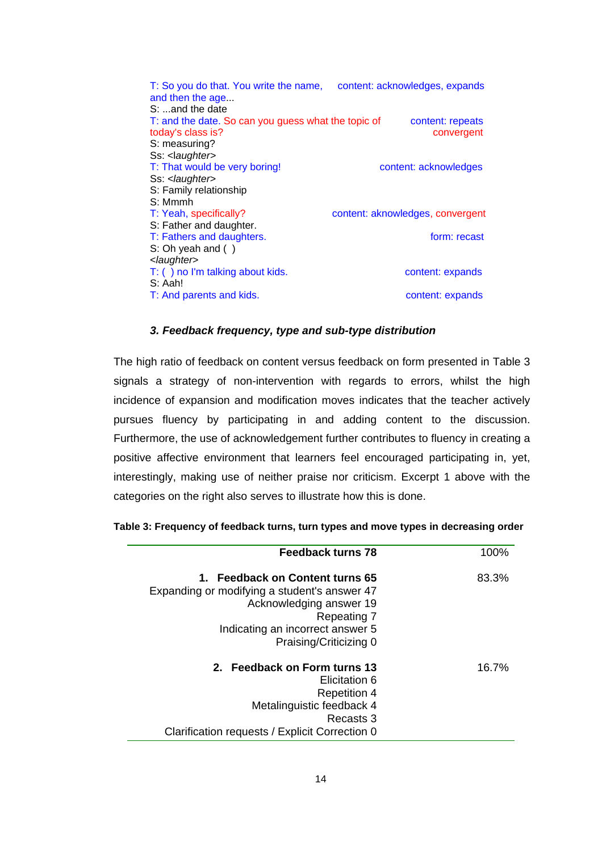| T: So you do that. You write the name, content: acknowledges, expands<br>and then the age |                                  |
|-------------------------------------------------------------------------------------------|----------------------------------|
| $S: $ and the date                                                                        |                                  |
| T: and the date. So can you guess what the topic of                                       | content: repeats                 |
| today's class is?                                                                         | convergent                       |
| S: measuring?                                                                             |                                  |
| Ss: <laughter></laughter>                                                                 |                                  |
| T: That would be very boring!                                                             | content: acknowledges            |
| Ss: <laughter></laughter>                                                                 |                                  |
| S: Family relationship                                                                    |                                  |
| S: Mmmh                                                                                   |                                  |
| T: Yeah, specifically?                                                                    | content: aknowledges, convergent |
| S: Father and daughter.                                                                   |                                  |
| T: Fathers and daughters.                                                                 | form: recast                     |
| S: Oh yeah and ()                                                                         |                                  |
| <laughter></laughter>                                                                     |                                  |
| T: () no I'm talking about kids.<br>S: Aah!                                               | content: expands                 |
| T: And parents and kids.                                                                  | content: expands                 |
|                                                                                           |                                  |

### *3. Feedback frequency, type and sub-type distribution*

The high ratio of feedback on content versus feedback on form presented in Table 3 signals a strategy of non-intervention with regards to errors, whilst the high incidence of expansion and modification moves indicates that the teacher actively pursues fluency by participating in and adding content to the discussion. Furthermore, the use of acknowledgement further contributes to fluency in creating a positive affective environment that learners feel encouraged participating in, yet, interestingly, making use of neither praise nor criticism. Excerpt 1 above with the categories on the right also serves to illustrate how this is done.

| Feedback turns 78                              | 100%  |
|------------------------------------------------|-------|
| 1. Feedback on Content turns 65                | 83.3% |
| Expanding or modifying a student's answer 47   |       |
| Acknowledging answer 19                        |       |
| Repeating 7                                    |       |
| Indicating an incorrect answer 5               |       |
| Praising/Criticizing 0                         |       |
| 2. Feedback on Form turns 13                   | 16.7% |
| Elicitation 6                                  |       |
| <b>Repetition 4</b>                            |       |
| Metalinguistic feedback 4                      |       |
| Recasts 3                                      |       |
| Clarification requests / Explicit Correction 0 |       |

| Table 3: Frequency of feedback turns, turn types and move types in decreasing order |  |  |  |  |  |
|-------------------------------------------------------------------------------------|--|--|--|--|--|
|-------------------------------------------------------------------------------------|--|--|--|--|--|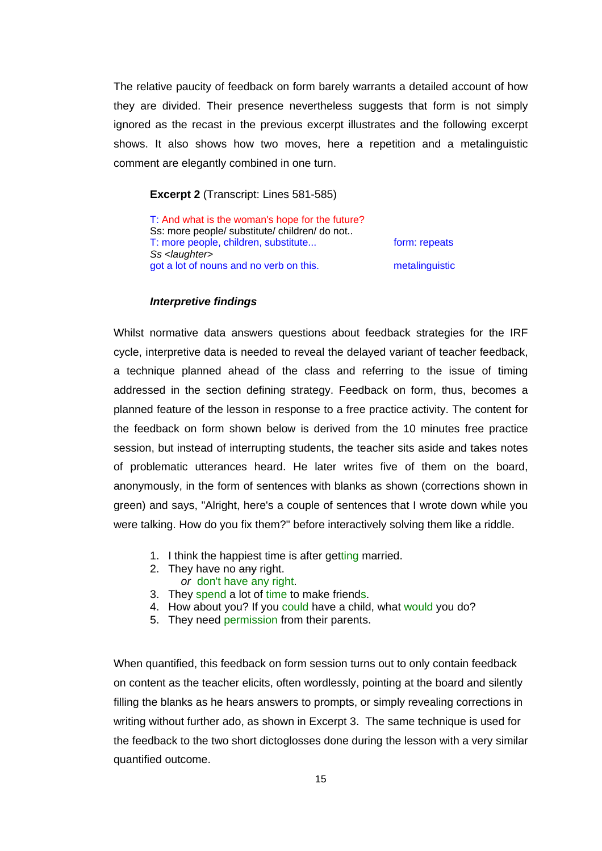The relative paucity of feedback on form barely warrants a detailed account of how they are divided. Their presence nevertheless suggests that form is not simply ignored as the recast in the previous excerpt illustrates and the following excerpt shows. It also shows how two moves, here a repetition and a metalinguistic comment are elegantly combined in one turn.

### **Excerpt 2** (Transcript: Lines 581-585)

T: And what is the woman's hope for the future? Ss: more people/ substitute/ children/ do not.. T: more people, children, substitute... form: repeats *Ss <laughter>*  got a lot of nouns and no verb on this. The metalinguistic

#### *Interpretive findings*

Whilst normative data answers questions about feedback strategies for the IRF cycle, interpretive data is needed to reveal the delayed variant of teacher feedback, a technique planned ahead of the class and referring to the issue of timing addressed in the section defining strategy. Feedback on form, thus, becomes a planned feature of the lesson in response to a free practice activity. The content for the feedback on form shown below is derived from the 10 minutes free practice session, but instead of interrupting students, the teacher sits aside and takes notes of problematic utterances heard. He later writes five of them on the board, anonymously, in the form of sentences with blanks as shown (corrections shown in green) and says, "Alright, here's a couple of sentences that I wrote down while you were talking. How do you fix them?" before interactively solving them like a riddle.

- 1. I think the happiest time is after getting married.
- 2. They have no any right.
- *or* don't have any right.
- 3. They spend a lot of time to make friends.
- 4. How about you? If you could have a child, what would you do?
- 5. They need permission from their parents.

When quantified, this feedback on form session turns out to only contain feedback on content as the teacher elicits, often wordlessly, pointing at the board and silently filling the blanks as he hears answers to prompts, or simply revealing corrections in writing without further ado, as shown in Excerpt 3. The same technique is used for the feedback to the two short dictoglosses done during the lesson with a very similar quantified outcome.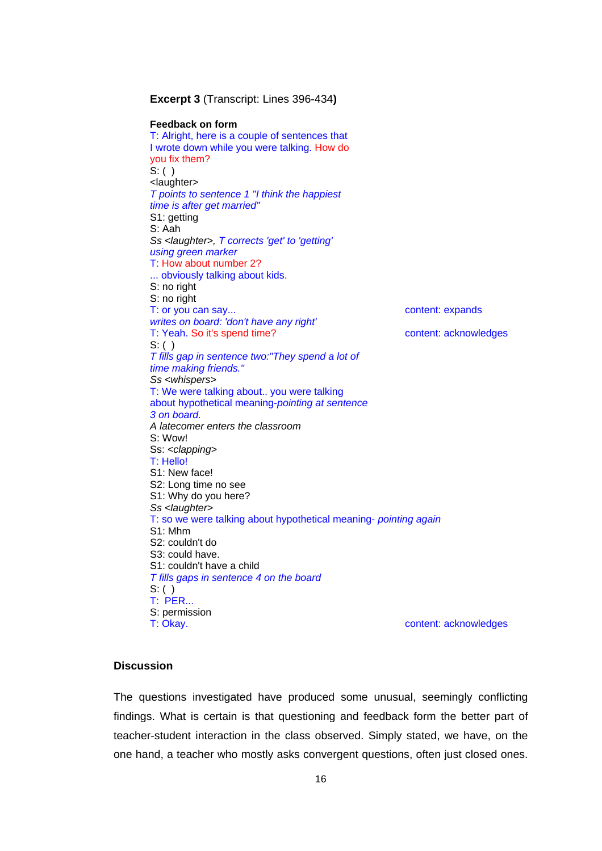| <b>Excerpt 3 (Transcript: Lines 396-434)</b>                     |                       |
|------------------------------------------------------------------|-----------------------|
| <b>Feedback on form</b>                                          |                       |
| T: Alright, here is a couple of sentences that                   |                       |
| I wrote down while you were talking. How do                      |                       |
| you fix them?                                                    |                       |
| S: ( )                                                           |                       |
| <laughter></laughter>                                            |                       |
| T points to sentence 1 "I think the happiest                     |                       |
| time is after get married"                                       |                       |
| S1: getting                                                      |                       |
| S: Aah                                                           |                       |
| Ss <laughter>, T corrects 'get' to 'getting'</laughter>          |                       |
| using green marker                                               |                       |
| T: How about number 2?                                           |                       |
| obviously talking about kids.                                    |                       |
| S: no right                                                      |                       |
| S: no right                                                      |                       |
| T: or you can say                                                | content: expands      |
| writes on board: 'don't have any right'                          |                       |
| T: Yeah. So it's spend time?                                     | content: acknowledges |
| $S:$ ( )                                                         |                       |
| T fills gap in sentence two:"They spend a lot of                 |                       |
| time making friends."                                            |                       |
| Ss <whispers></whispers>                                         |                       |
| T: We were talking about you were talking                        |                       |
| about hypothetical meaning-pointing at sentence                  |                       |
| 3 on board.                                                      |                       |
| A latecomer enters the classroom                                 |                       |
| S: Wow!                                                          |                       |
| Ss: <clapping></clapping>                                        |                       |
| T: Hello!                                                        |                       |
| S1: New face!                                                    |                       |
| S2: Long time no see                                             |                       |
| S1: Why do you here?                                             |                       |
| Ss <laughter></laughter>                                         |                       |
| T: so we were talking about hypothetical meaning- pointing again |                       |
| S1: Mhm<br>S2: couldn't do                                       |                       |
| S3: could have.                                                  |                       |
| S1: couldn't have a child                                        |                       |
| T fills gaps in sentence 4 on the board                          |                       |
| S: ( )                                                           |                       |
| <b>T: PER</b>                                                    |                       |
| S: permission                                                    |                       |
| T: Okay.                                                         | content: acknowledges |
|                                                                  |                       |

## **Discussion**

The questions investigated have produced some unusual, seemingly conflicting findings. What is certain is that questioning and feedback form the better part of teacher-student interaction in the class observed. Simply stated, we have, on the one hand, a teacher who mostly asks convergent questions, often just closed ones.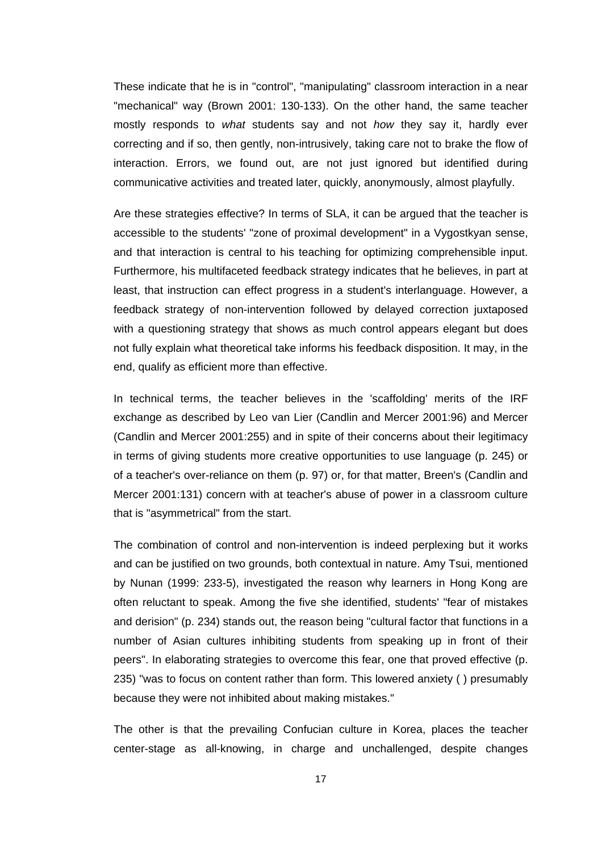These indicate that he is in "control", "manipulating" classroom interaction in a near "mechanical" way (Brown 2001: 130-133). On the other hand, the same teacher mostly responds to *what* students say and not *how* they say it, hardly ever correcting and if so, then gently, non-intrusively, taking care not to brake the flow of interaction. Errors, we found out, are not just ignored but identified during communicative activities and treated later, quickly, anonymously, almost playfully.

Are these strategies effective? In terms of SLA, it can be argued that the teacher is accessible to the students' "zone of proximal development" in a Vygostkyan sense, and that interaction is central to his teaching for optimizing comprehensible input. Furthermore, his multifaceted feedback strategy indicates that he believes, in part at least, that instruction can effect progress in a student's interlanguage. However, a feedback strategy of non-intervention followed by delayed correction juxtaposed with a questioning strategy that shows as much control appears elegant but does not fully explain what theoretical take informs his feedback disposition. It may, in the end, qualify as efficient more than effective.

In technical terms, the teacher believes in the 'scaffolding' merits of the IRF exchange as described by Leo van Lier (Candlin and Mercer 2001:96) and Mercer (Candlin and Mercer 2001:255) and in spite of their concerns about their legitimacy in terms of giving students more creative opportunities to use language (p. 245) or of a teacher's over-reliance on them (p. 97) or, for that matter, Breen's (Candlin and Mercer 2001:131) concern with at teacher's abuse of power in a classroom culture that is "asymmetrical" from the start.

The combination of control and non-intervention is indeed perplexing but it works and can be justified on two grounds, both contextual in nature. Amy Tsui, mentioned by Nunan (1999: 233-5), investigated the reason why learners in Hong Kong are often reluctant to speak. Among the five she identified, students' "fear of mistakes and derision" (p. 234) stands out, the reason being "cultural factor that functions in a number of Asian cultures inhibiting students from speaking up in front of their peers". In elaborating strategies to overcome this fear, one that proved effective (p. 235) "was to focus on content rather than form. This lowered anxiety ( ) presumably because they were not inhibited about making mistakes."

The other is that the prevailing Confucian culture in Korea, places the teacher center-stage as all-knowing, in charge and unchallenged, despite changes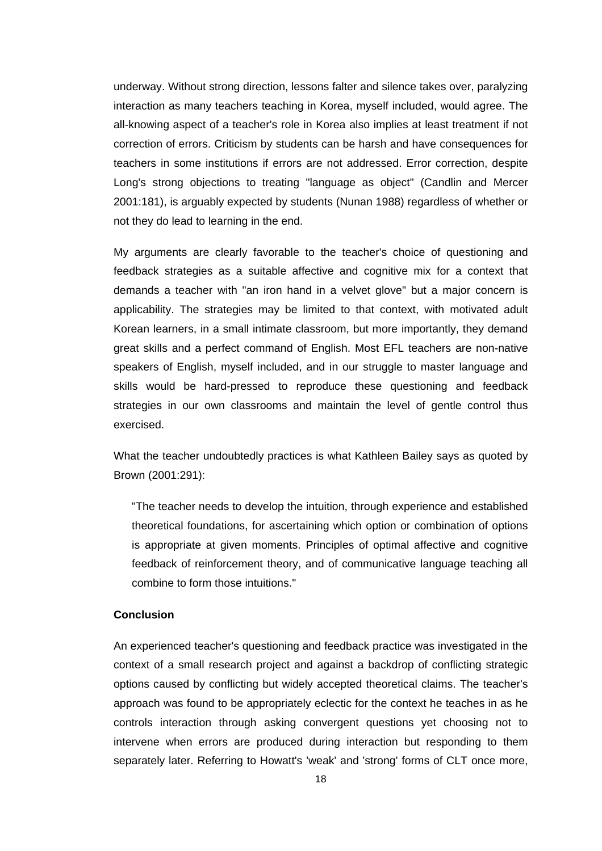underway. Without strong direction, lessons falter and silence takes over, paralyzing interaction as many teachers teaching in Korea, myself included, would agree. The all-knowing aspect of a teacher's role in Korea also implies at least treatment if not correction of errors. Criticism by students can be harsh and have consequences for teachers in some institutions if errors are not addressed. Error correction, despite Long's strong objections to treating "language as object" (Candlin and Mercer 2001:181), is arguably expected by students (Nunan 1988) regardless of whether or not they do lead to learning in the end.

My arguments are clearly favorable to the teacher's choice of questioning and feedback strategies as a suitable affective and cognitive mix for a context that demands a teacher with "an iron hand in a velvet glove" but a major concern is applicability. The strategies may be limited to that context, with motivated adult Korean learners, in a small intimate classroom, but more importantly, they demand great skills and a perfect command of English. Most EFL teachers are non-native speakers of English, myself included, and in our struggle to master language and skills would be hard-pressed to reproduce these questioning and feedback strategies in our own classrooms and maintain the level of gentle control thus exercised.

What the teacher undoubtedly practices is what Kathleen Bailey says as quoted by Brown (2001:291):

"The teacher needs to develop the intuition, through experience and established theoretical foundations, for ascertaining which option or combination of options is appropriate at given moments. Principles of optimal affective and cognitive feedback of reinforcement theory, and of communicative language teaching all combine to form those intuitions."

### **Conclusion**

An experienced teacher's questioning and feedback practice was investigated in the context of a small research project and against a backdrop of conflicting strategic options caused by conflicting but widely accepted theoretical claims. The teacher's approach was found to be appropriately eclectic for the context he teaches in as he controls interaction through asking convergent questions yet choosing not to intervene when errors are produced during interaction but responding to them separately later. Referring to Howatt's 'weak' and 'strong' forms of CLT once more,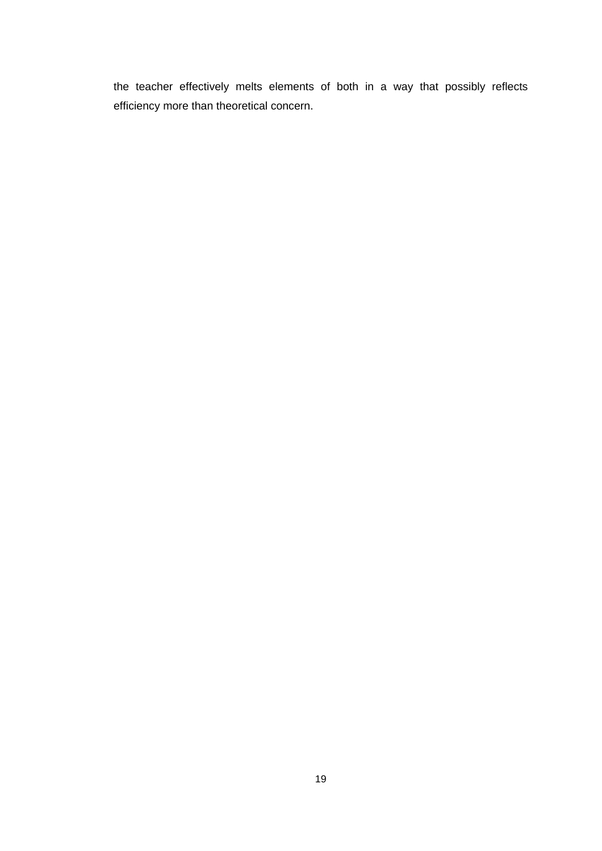the teacher effectively melts elements of both in a way that possibly reflects efficiency more than theoretical concern.